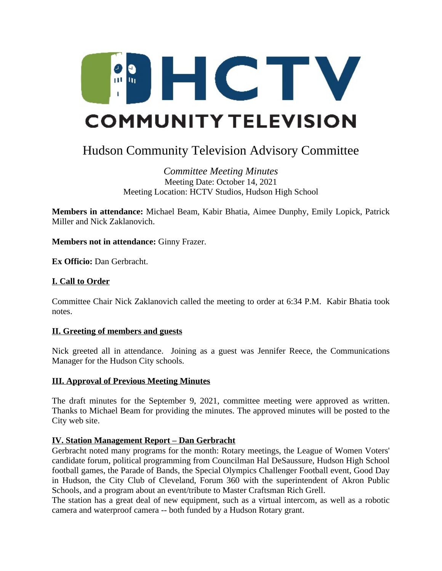

# Hudson Community Television Advisory Committee

*Committee Meeting Minutes* Meeting Date: October 14, 2021 Meeting Location: HCTV Studios, Hudson High School

**Members in attendance:** Michael Beam, Kabir Bhatia, Aimee Dunphy, Emily Lopick, Patrick Miller and Nick Zaklanovich.

**Members not in attendance:** Ginny Frazer.

**Ex Officio:** Dan Gerbracht.

# **I. Call to Order**

Committee Chair Nick Zaklanovich called the meeting to order at 6:34 P.M. Kabir Bhatia took notes.

## **II. Greeting of members and guests**

Nick greeted all in attendance. Joining as a guest was Jennifer Reece, the Communications Manager for the Hudson City schools.

## **III. Approval of Previous Meeting Minutes**

The draft minutes for the September 9, 2021, committee meeting were approved as written. Thanks to Michael Beam for providing the minutes. The approved minutes will be posted to the City web site.

## **IV. Station Management Report – Dan Gerbracht**

Gerbracht noted many programs for the month: Rotary meetings, the League of Women Voters' candidate forum, political programming from Councilman Hal DeSaussure, Hudson High School football games, the Parade of Bands, the Special Olympics Challenger Football event, Good Day in Hudson, the City Club of Cleveland, Forum 360 with the superintendent of Akron Public Schools, and a program about an event/tribute to Master Craftsman Rich Grell.

The station has a great deal of new equipment, such as a virtual intercom, as well as a robotic camera and waterproof camera -- both funded by a Hudson Rotary grant.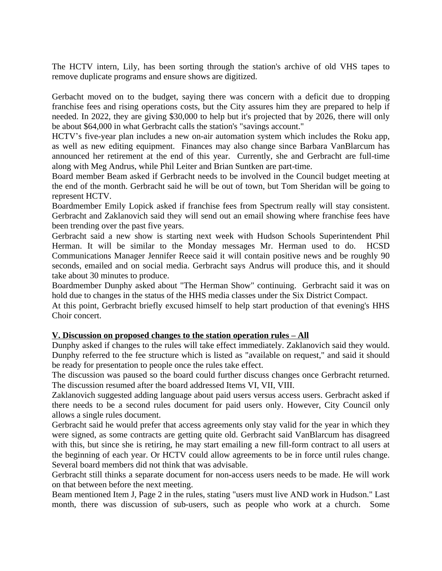The HCTV intern, Lily, has been sorting through the station's archive of old VHS tapes to remove duplicate programs and ensure shows are digitized.

Gerbacht moved on to the budget, saying there was concern with a deficit due to dropping franchise fees and rising operations costs, but the City assures him they are prepared to help if needed. In 2022, they are giving \$30,000 to help but it's projected that by 2026, there will only be about \$64,000 in what Gerbracht calls the station's "savings account."

HCTV's five-year plan includes a new on-air automation system which includes the Roku app, as well as new editing equipment. Finances may also change since Barbara VanBlarcum has announced her retirement at the end of this year. Currently, she and Gerbracht are full-time along with Meg Andrus, while Phil Leiter and Brian Suntken are part-time.

Board member Beam asked if Gerbracht needs to be involved in the Council budget meeting at the end of the month. Gerbracht said he will be out of town, but Tom Sheridan will be going to represent HCTV.

Boardmember Emily Lopick asked if franchise fees from Spectrum really will stay consistent. Gerbracht and Zaklanovich said they will send out an email showing where franchise fees have been trending over the past five years.

Gerbracht said a new show is starting next week with Hudson Schools Superintendent Phil Herman. It will be similar to the Monday messages Mr. Herman used to do. HCSD Communications Manager Jennifer Reece said it will contain positive news and be roughly 90 seconds, emailed and on social media. Gerbracht says Andrus will produce this, and it should take about 30 minutes to produce.

Boardmember Dunphy asked about "The Herman Show" continuing. Gerbracht said it was on hold due to changes in the status of the HHS media classes under the Six District Compact.

At this point, Gerbracht briefly excused himself to help start production of that evening's HHS Choir concert.

# **V. Discussion on proposed changes to the station operation rules – All**

Dunphy asked if changes to the rules will take effect immediately. Zaklanovich said they would. Dunphy referred to the fee structure which is listed as "available on request," and said it should be ready for presentation to people once the rules take effect.

The discussion was paused so the board could further discuss changes once Gerbracht returned. The discussion resumed after the board addressed Items VI, VII, VIII.

Zaklanovich suggested adding language about paid users versus access users. Gerbracht asked if there needs to be a second rules document for paid users only. However, City Council only allows a single rules document.

Gerbracht said he would prefer that access agreements only stay valid for the year in which they were signed, as some contracts are getting quite old. Gerbracht said VanBlarcum has disagreed with this, but since she is retiring, he may start emailing a new fill-form contract to all users at the beginning of each year. Or HCTV could allow agreements to be in force until rules change. Several board members did not think that was advisable.

Gerbracht still thinks a separate document for non-access users needs to be made. He will work on that between before the next meeting.

Beam mentioned Item J, Page 2 in the rules, stating "users must live AND work in Hudson." Last month, there was discussion of sub-users, such as people who work at a church. Some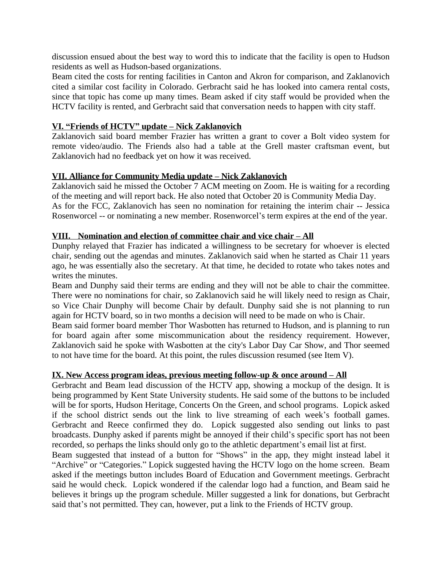discussion ensued about the best way to word this to indicate that the facility is open to Hudson residents as well as Hudson-based organizations.

Beam cited the costs for renting facilities in Canton and Akron for comparison, and Zaklanovich cited a similar cost facility in Colorado. Gerbracht said he has looked into camera rental costs, since that topic has come up many times. Beam asked if city staff would be provided when the HCTV facility is rented, and Gerbracht said that conversation needs to happen with city staff.

## **VI. "Friends of HCTV" update – Nick Zaklanovich**

Zaklanovich said board member Frazier has written a grant to cover a Bolt video system for remote video/audio. The Friends also had a table at the Grell master craftsman event, but Zaklanovich had no feedback yet on how it was received.

## **VII. Alliance for Community Media update – Nick Zaklanovich**

Zaklanovich said he missed the October 7 ACM meeting on Zoom. He is waiting for a recording of the meeting and will report back. He also noted that October 20 is Community Media Day. As for the FCC, Zaklanovich has seen no nomination for retaining the interim chair -- Jessica Rosenworcel -- or nominating a new member. Rosenworcel's term expires at the end of the year.

## **VIII. Nomination and election of committee chair and vice chair – All**

Dunphy relayed that Frazier has indicated a willingness to be secretary for whoever is elected chair, sending out the agendas and minutes. Zaklanovich said when he started as Chair 11 years ago, he was essentially also the secretary. At that time, he decided to rotate who takes notes and writes the minutes.

Beam and Dunphy said their terms are ending and they will not be able to chair the committee. There were no nominations for chair, so Zaklanovich said he will likely need to resign as Chair, so Vice Chair Dunphy will become Chair by default. Dunphy said she is not planning to run again for HCTV board, so in two months a decision will need to be made on who is Chair.

Beam said former board member Thor Wasbotten has returned to Hudson, and is planning to run for board again after some miscommunication about the residency requirement. However, Zaklanovich said he spoke with Wasbotten at the city's Labor Day Car Show, and Thor seemed to not have time for the board. At this point, the rules discussion resumed (see Item V).

## **IX.** New Access program ideas, previous meeting follow-up & once around – All

Gerbracht and Beam lead discussion of the HCTV app, showing a mockup of the design. It is being programmed by Kent State University students. He said some of the buttons to be included will be for sports, Hudson Heritage, Concerts On the Green, and school programs. Lopick asked if the school district sends out the link to live streaming of each week's football games. Gerbracht and Reece confirmed they do. Lopick suggested also sending out links to past broadcasts. Dunphy asked if parents might be annoyed if their child's specific sport has not been recorded, so perhaps the links should only go to the athletic department's email list at first.

Beam suggested that instead of a button for "Shows" in the app, they might instead label it "Archive" or "Categories." Lopick suggested having the HCTV logo on the home screen. Beam asked if the meetings button includes Board of Education and Government meetings. Gerbracht said he would check. Lopick wondered if the calendar logo had a function, and Beam said he believes it brings up the program schedule. Miller suggested a link for donations, but Gerbracht said that's not permitted. They can, however, put a link to the Friends of HCTV group.